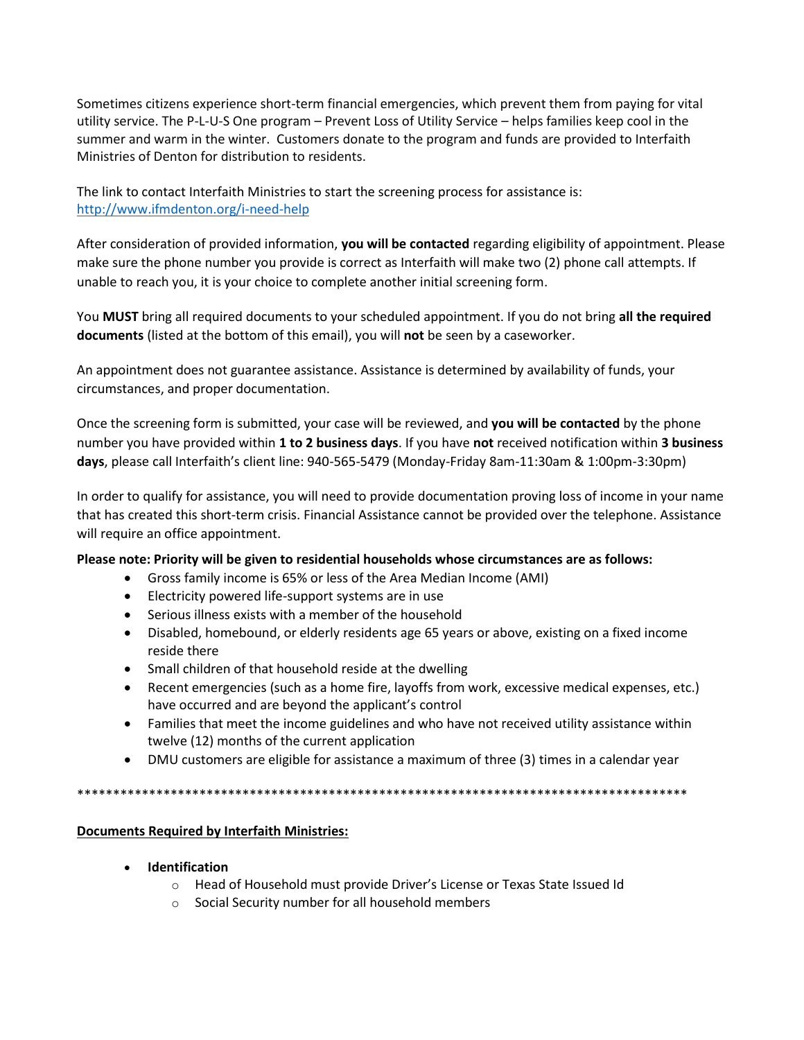Sometimes citizens experience short-term financial emergencies, which prevent them from paying for vital utility service. The P-L-U-S One program – Prevent Loss of Utility Service – helps families keep cool in the summer and warm in the winter. Customers donate to the program and funds are provided to Interfaith Ministries of Denton for distribution to residents.

The link to contact Interfaith Ministries to start the screening process for assistance is: <http://www.ifmdenton.org/i-need-help>

After consideration of provided information, **you will be contacted** regarding eligibility of appointment. Please make sure the phone number you provide is correct as Interfaith will make two (2) phone call attempts. If unable to reach you, it is your choice to complete another initial screening form.

You **MUST** bring all required documents to your scheduled appointment. If you do not bring **all the required documents** (listed at the bottom of this email), you will **not** be seen by a caseworker.

An appointment does not guarantee assistance. Assistance is determined by availability of funds, your circumstances, and proper documentation.

Once the screening form is submitted, your case will be reviewed, and **you will be contacted** by the phone number you have provided within **1 to 2 business days**. If you have **not** received notification within **3 business days**, please call Interfaith's client line: 940-565-5479 (Monday-Friday 8am-11:30am & 1:00pm-3:30pm)

In order to qualify for assistance, you will need to provide documentation proving loss of income in your name that has created this short-term crisis. Financial Assistance cannot be provided over the telephone. Assistance will require an office appointment.

## **Please note: Priority will be given to residential households whose circumstances are as follows:**

- Gross family income is 65% or less of the Area Median Income (AMI)
- Electricity powered life-support systems are in use
- Serious illness exists with a member of the household
- Disabled, homebound, or elderly residents age 65 years or above, existing on a fixed income reside there
- Small children of that household reside at the dwelling
- Recent emergencies (such as a home fire, layoffs from work, excessive medical expenses, etc.) have occurred and are beyond the applicant's control
- Families that meet the income guidelines and who have not received utility assistance within twelve (12) months of the current application
- DMU customers are eligible for assistance a maximum of three (3) times in a calendar year

\*\*\*\*\*\*\*\*\*\*\*\*\*\*\*\*\*\*\*\*\*\*\*\*\*\*\*\*\*\*\*\*\*\*\*\*\*\*\*\*\*\*\*\*\*\*\*\*\*\*\*\*\*\*\*\*\*\*\*\*\*\*\*\*\*\*\*\*\*\*\*\*\*\*\*\*\*\*\*\*\*\*\*\*\*

## **Documents Required by Interfaith Ministries:**

- **Identification**
	- o Head of Household must provide Driver's License or Texas State Issued Id
	- o Social Security number for all household members